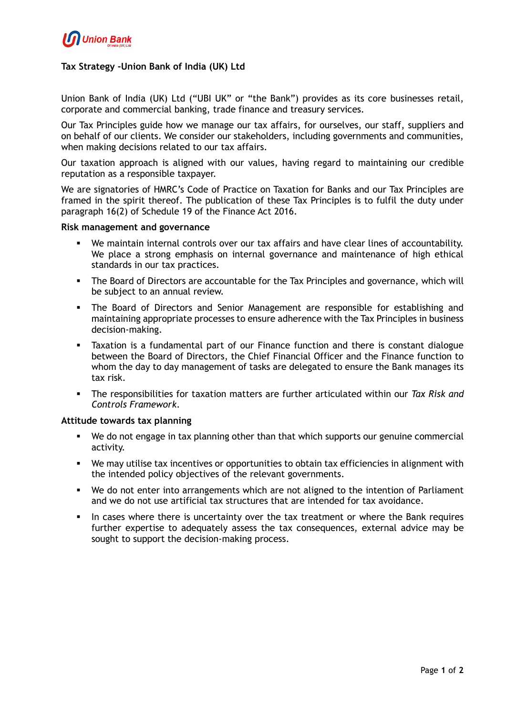

# **Tax Strategy -Union Bank of India (UK) Ltd**

Union Bank of India (UK) Ltd ("UBI UK" or "the Bank") provides as its core businesses retail, corporate and commercial banking, trade finance and treasury services.

Our Tax Principles guide how we manage our tax affairs, for ourselves, our staff, suppliers and on behalf of our clients. We consider our stakeholders, including governments and communities, when making decisions related to our tax affairs.

Our taxation approach is aligned with our values, having regard to maintaining our credible reputation as a responsible taxpayer.

We are signatories of HMRC's Code of Practice on Taxation for Banks and our Tax Principles are framed in the spirit thereof. The publication of these Tax Principles is to fulfil the duty under paragraph 16(2) of Schedule 19 of the Finance Act 2016.

### **Risk management and governance**

- We maintain internal controls over our tax affairs and have clear lines of accountability. We place a strong emphasis on internal governance and maintenance of high ethical standards in our tax practices.
- The Board of Directors are accountable for the Tax Principles and governance, which will be subject to an annual review.
- The Board of Directors and Senior Management are responsible for establishing and maintaining appropriate processes to ensure adherence with the Tax Principles in business decision-making.
- Taxation is a fundamental part of our Finance function and there is constant dialogue between the Board of Directors, the Chief Financial Officer and the Finance function to whom the day to day management of tasks are delegated to ensure the Bank manages its tax risk.
- The responsibilities for taxation matters are further articulated within our *Tax Risk and Controls Framework*.

#### **Attitude towards tax planning**

- We do not engage in tax planning other than that which supports our genuine commercial activity.
- We may utilise tax incentives or opportunities to obtain tax efficiencies in alignment with the intended policy objectives of the relevant governments.
- We do not enter into arrangements which are not aligned to the intention of Parliament and we do not use artificial tax structures that are intended for tax avoidance.
- In cases where there is uncertainty over the tax treatment or where the Bank requires further expertise to adequately assess the tax consequences, external advice may be sought to support the decision-making process.